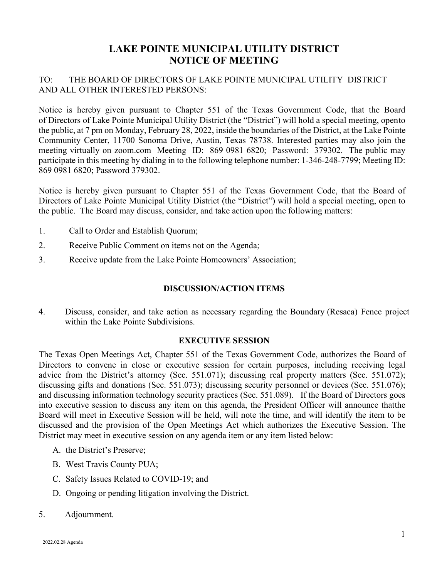## **LAKE POINTE MUNICIPAL UTILITY DISTRICT NOTICE OF MEETING**

## TO: THE BOARD OF DIRECTORS OF LAKE POINTE MUNICIPAL UTILITY DISTRICT AND ALL OTHER INTERESTED PERSONS:

Notice is hereby given pursuant to Chapter 551 of the Texas Government Code, that the Board of Directors of Lake Pointe Municipal Utility District (the "District") will hold a special meeting, opento the public, at 7 pm on Monday, February 28, 2022, inside the boundaries of the District, at the Lake Pointe Community Center, 11700 Sonoma Drive, Austin, Texas 78738. Interested parties may also join the meeting virtually on zoom.com Meeting ID: 869 0981 6820; Password: 379302. The public may participate in this meeting by dialing in to the following telephone number: 1-346-248-7799; Meeting ID: 869 0981 6820; Password 379302.

Notice is hereby given pursuant to Chapter 551 of the Texas Government Code, that the Board of Directors of Lake Pointe Municipal Utility District (the "District") will hold a special meeting, open to the public. The Board may discuss, consider, and take action upon the following matters:

- 1. Call to Order and Establish Quorum;
- 2. Receive Public Comment on items not on the Agenda;
- 3. Receive update from the Lake Pointe Homeowners' Association;

## **DISCUSSION/ACTION ITEMS**

4. Discuss, consider, and take action as necessary regarding the Boundary (Resaca) Fence project within the Lake Pointe Subdivisions.

## **EXECUTIVE SESSION**

The Texas Open Meetings Act, Chapter 551 of the Texas Government Code, authorizes the Board of Directors to convene in close or executive session for certain purposes, including receiving legal advice from the District's attorney (Sec. 551.071); discussing real property matters (Sec. 551.072); discussing gifts and donations (Sec. 551.073); discussing security personnel or devices (Sec. 551.076); and discussing information technology security practices (Sec. 551.089). If the Board of Directors goes into executive session to discuss any item on this agenda, the President Officer will announce thatthe Board will meet in Executive Session will be held, will note the time, and will identify the item to be discussed and the provision of the Open Meetings Act which authorizes the Executive Session. The District may meet in executive session on any agenda item or any item listed below:

- A. the District's Preserve;
- B. West Travis County PUA;
- C. Safety Issues Related to COVID-19; and
- D. Ongoing or pending litigation involving the District.
- 5. Adjournment.